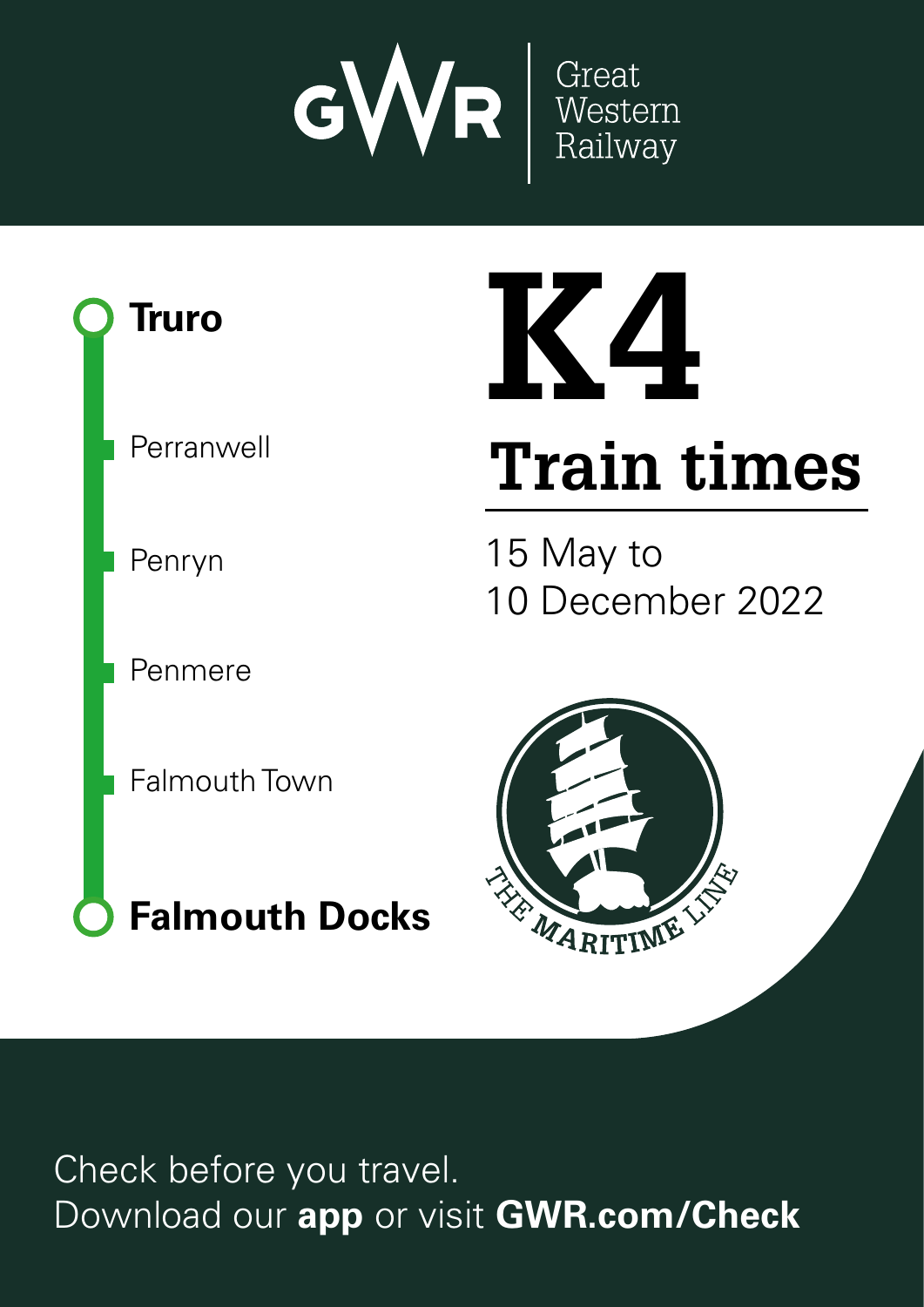



# **K4**

# **Train times**

15 May to 10 December 2022



Check before you travel. Download our **app** or visit **GWR.com/Check**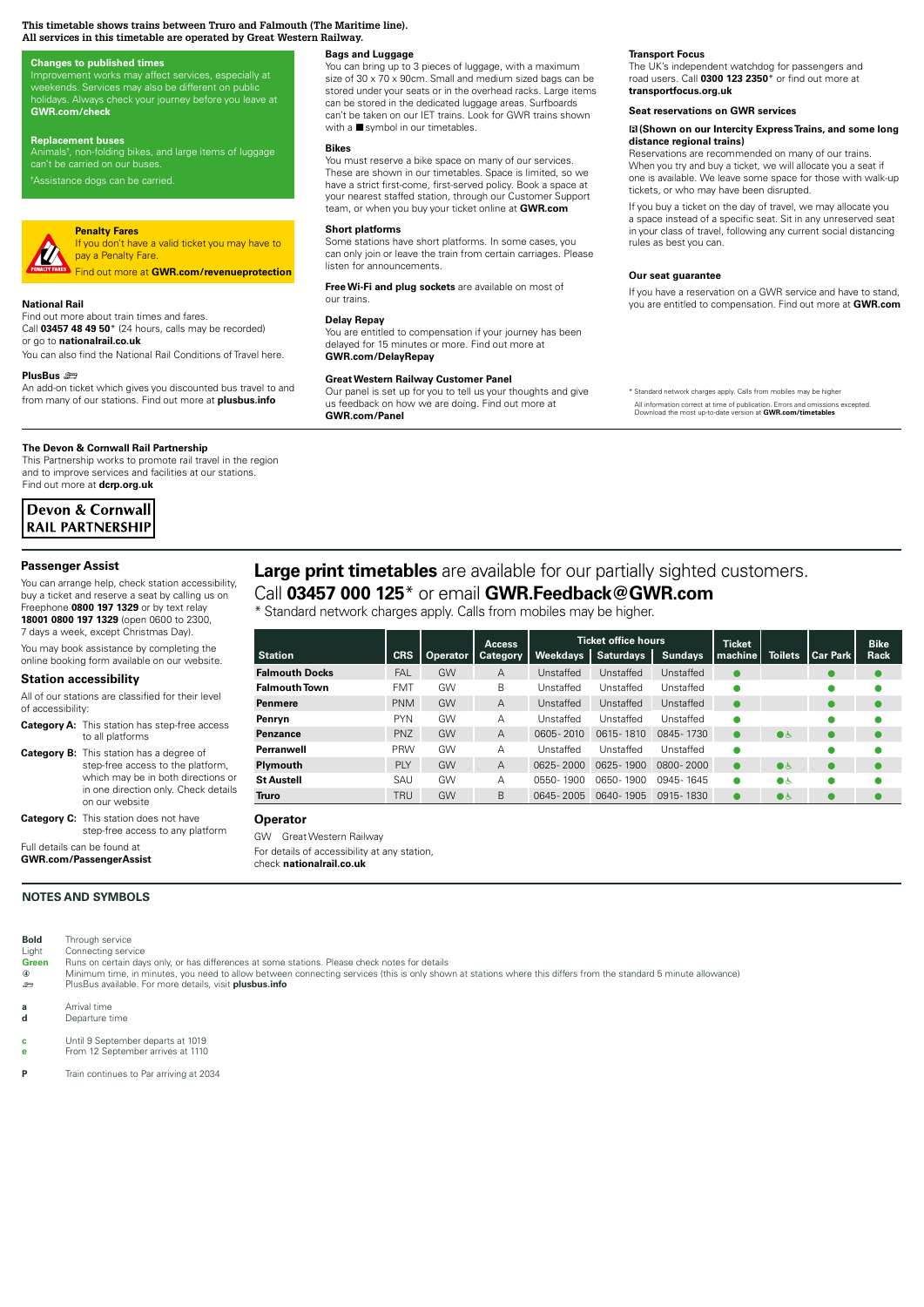#### **This timetable shows trains between Truro and Falmouth (The Maritime line). All services in this timetable are operated by Great Western Railway.**

#### **Changes to published times**

Improvement works may affect services, especially at<br>weekends. Services may also be different on public **GWR.com/check** 

#### **Replacement buses**

Animals<sup>t</sup>, non-folding bikes, and large items of luggage

h Assistance dogs can be carried.

#### **Penalty Fares** If you don't have a valid ticket you may have to **VA**

pay a Penalty Fare. Find out more at **GWR.com/revenueprotection**

#### **National Rail**

Standard internetwork charges application of the higher. Calls from mobiles application of the second of the second of the second of the second of the second of the second of the second of the second of the second of the s **03457 000 125\***  i<mark>rc</mark>e<br>de<br>Is times.<br>Search<br>Search nomes<br>Download dit<br>Download our and checkets and checkets and checkets and checkets are the purchase that and checket<br>And checkets and checkets are the checkets and checkets are the checkets and checkets are the checket an <mark>at</mark><br>im<br>nal Don't miss out of the miss of the miss of the miss of the mission of the mission of the mission of the mission of the mission of the mission of the mission of the mission of the mission of the mission of the mission of the Find out more about train times and fares. Call **03457 48 49 50**\* (24 hours, calls may be recorded) or go to **nationalrail.co.uk**

tit<br>re You can also find the National Rail Conditions of Travel here.

#### **PlusBus** ¬

op<br>dai<br>S **COMPLES THE CONSTRESS CONSTRESS OF ACTIVITIES**<br>PlusBus 金<br>An add-on ticket which gives you discounted bus travel to and ico<br>m<br>**ers**<br>rai es<br>Fil<br>**ail** from many of our stations. Find out more at **plusbus.info**

#### **The Devon & Cornwall Rail Partnership**

This Partnership works to promote rail travel in the region and to improve services and facilities at our stations. Find out more at **dcrp.org.uk**

| Devon & Cornwall        |
|-------------------------|
| <b>RAIL PARTNERSHIP</b> |

#### **Passenger Assist**

You can arrange help, check station accessibility, buy a ticket and reserve a seat by calling us on Freephone **0800 197 1329** or by text relay **18001 0800 197 1329** (open 0600 to 2300, 7 days a week, except Christmas Day).

You may book assistance by completing the online booking form available on our website.

# **Station accessibility**

All of our stations are classified for their level

| of accessibility: |                                                      |
|-------------------|------------------------------------------------------|
|                   | <b>Category A:</b> This station has step-free access |
|                   | to all platforms                                     |

```
Category B: This station has a degree of 
             step-free access to the platform, 
             which may be in both directions or 
             in one direction only. Check details 
             on our website
Category C: This station does not have
```
step-free access to any platform Full details can be found at

**GWR.com/PassengerAssist**

#### **NOTES AND SYMBOLS**

**Bold** Through service

Light Connecting service<br>**Green** Runs on certain day Runs on certain days only, or has differences at some stations. Please check notes for details

- ă Minimum time, in minutes, you need to allow between connecting services (this is only shown at stations where this differs from the standard 5 minute allowance) ¬ PlusBus available. For more details, visit **plusbus.info**
- **a** Arrival time
- **d** Departure time
- **c** Until 9 September departs at 1019
- **e** From 12 September arrives at 1110
- **P** Train continues to Par arriving at 2034

# **Bags and Luggage**

You can bring up to 3 pieces of luggage, with a maximum size of 30 x 70 x 90cm. Small and medium sized bags can be stored under your seats or in the overhead racks. Large items can be stored in the dedicated luggage areas. Surfboards can't be taken on our IET trains. Look for GWR trains shown with a  $\blacksquare$  symbol in our timetables.

#### **Bikes**

You must reserve a bike space on many of our services. These are shown in our timetables. Space is limited, so we have a strict first-come, first-served policy. Book a space at<br>your nearest staffed station, through our Customer Support team, or when you buy your ticket online at **GWR.com**

#### **Short platforms**

Some stations have short platforms. In some cases, you can only join or leave the train from certain carriages. Please listen for announcements.

Fi<br>Ol **Free Wi-Fi and plug sockets** are available on most of our trains.

#### **Delay Repay**

**More information**<br>**More information**<br>**More information**<br>and interactions **D**<br> **C**<br> **G** been<br>**Kaal** You are entitled to compensation if your journey has been delayed for 15 minutes or more. Find out more at **GWR.com/DelayRepay**

#### **Great Western Railway Customer Panel**

Our panel is set up for you to tell us your thoughts and give us feedback on how we are doing. Find out more at **GWR.com/Panel**

#### **Transport Focus**

The UK's independent watchdog for passengers and<br>road users. Call **0300 123 2350**\* or find out more at **transportfocus.org.uk**

#### **Seat reservations on GWR services**

#### $\boxtimes$  **(Shown on our Intercity Express Trains, and some long distance regional trains)**

Reservations are recommended on many of our trains. When you try and buy a ticket, we will allocate you a seat if one is available. We leave some space for those with walk-up tickets, or who may have been disrupted.

If you buy a ticket on the day of travel, we may allocate you<br>a space instead of a specific seat. Sit in any unreserved seat in your class of travel, following any current social distancing rules as best you can.

#### **Our seat guarantee**

ru<br>**O**<br>If<br>yo re ( gı<br>10 december<br>10 metr Download our **app** or visit **GWR.com/Check** If you have a reservation on a GWR service and have to stand, you are entitled to compensation. Find out more at **GWR.com**

**Fall**<br>From Section<br>Concrete<br>Branch Docks ard network charges apply. Calls from mobiles may be highe All information correct at time of publication. Errors and omissions excepted. Download the most up-to-date version at **GWR.com/timetables**

Falmouth Town

Check before you travel.

# **Large print timetables** are available for our partially sighted customers.

# Call **03457 000 125**\* or email **GWR.Feedback@GWR.com**

\* Standard network charges apply. Calls from mobiles may be higher.

|                       |            |                 | <b>Access</b>   |                 | <b>Ticket office hours</b> |                | <b>Ticket</b> |                |                 | <b>Bike</b> |
|-----------------------|------------|-----------------|-----------------|-----------------|----------------------------|----------------|---------------|----------------|-----------------|-------------|
| <b>Station</b>        | <b>CRS</b> | <b>Operator</b> | <b>Category</b> | <b>Weekdays</b> | <b>Saturdays</b>           | <b>Sundays</b> | machine       | <b>Toilets</b> | <b>Car Park</b> | Rack        |
| <b>Falmouth Docks</b> | <b>FAL</b> | GW              | A               | Unstaffed       | Unstaffed                  | Unstaffed      | $\bullet$     |                |                 | $\bullet$   |
| <b>Falmouth Town</b>  | <b>FMT</b> | GW              | B               | Unstaffed       | Unstaffed                  | Unstaffed      | $\bullet$     |                |                 |             |
| <b>Penmere</b>        | <b>PNM</b> | GW              | $\overline{A}$  | Unstaffed       | Unstaffed                  | Unstaffed      | $\bullet$     |                |                 |             |
| Penryn                | <b>PYN</b> | GW              | A               | Unstaffed       | Unstaffed                  | Unstaffed      | $\bullet$     |                |                 |             |
| <b>Penzance</b>       | PNZ        | GW              | $\overline{A}$  | 0605-2010       | 0615-1810                  | 0845-1730      | $\bullet$     | $\bullet$      |                 | $\bullet$   |
| Perranwell            | <b>PRW</b> | GW              | A               | Unstaffed       | Unstaffed                  | Unstaffed      | $\bullet$     |                |                 |             |
| Plymouth              | <b>PIY</b> | GW              | $\overline{A}$  | $0625 - 2000$   | 0625-1900                  | 0800-2000      | $\bullet$     | $\bullet$      | $\bullet$       | $\bullet$   |
| <b>St Austell</b>     | SAU        | GW              | А               | 0550-1900       | 0650-1900                  | 0945-1645      | ٠             | $\bullet\circ$ |                 |             |
| Truro                 | <b>TRU</b> | GW              | B               | 0645-2005       | 0640-1905                  | 0915-1830      | $\bullet$     | $\bullet\circ$ |                 |             |

**Operator** 

GW Great Western Railway For details of accessibility at any station, check **nationalrail.co.uk**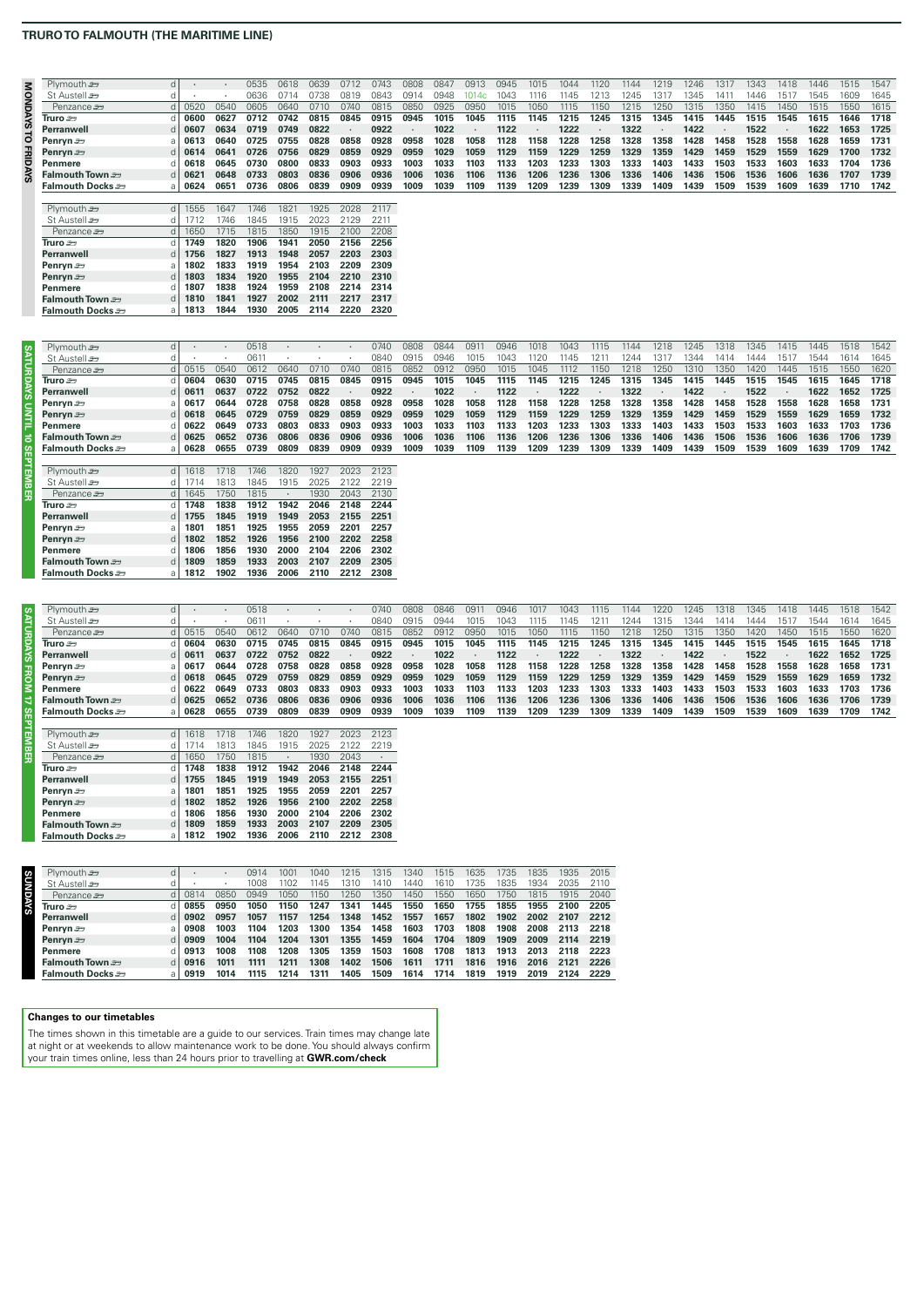## **TRURO TO FALMOUTH (THE MARITIME LINE)**

| 3  | Plymouth s       | d. |            |      | 0535 | 0618 | 0639 | 0712 | 0743 | 2080 | 084  | 0913 | 0945          | 1015 | 1044 | 1120 | 144  | 1219 | 1246 | 1317 | 1343 | 1418 | 1446 | 1515 | 1547 |
|----|------------------|----|------------|------|------|------|------|------|------|------|------|------|---------------|------|------|------|------|------|------|------|------|------|------|------|------|
| 0  | St Austell s     |    |            |      | 0636 | 0714 |      | N819 | 084  | า91  | 0948 |      | $104^{\circ}$ | 116  | 145  |      | 245  |      | 345  |      | 144F | 151  | 1545 | 1609 | 1645 |
| Š. | Penzance stra    |    | 0520       | 0540 | 0605 | 0640 | 0710 | 0740 | 0815 | 0850 | 0925 | 0950 | 1015          | 1050 | 1115 | 1150 | 1215 | 1250 | 1315 | 1350 | 1415 | 1450 | 1515 | 1550 | 1615 |
|    | Truro som        |    | 0600       | 0627 | 0712 | 0742 | 0815 | 0845 | 0915 | 0945 | 1015 | 1045 | 1115          | 1145 | 1215 | 1245 | 1315 | 1345 | 1415 | 1445 | 1515 | 1545 | 1615 | 1646 | 1718 |
| ŵ, | Perranwell       |    | $d$   0607 | 0634 | 0719 | 0749 | 0822 |      | 0922 |      | 1022 |      | 1122          |      | 1222 |      | 1322 |      | 1422 |      | 1522 |      | 1622 | 1653 | 1725 |
| 0  | Penryn $\equiv$  |    | 0613       | 0640 | 0725 | 0755 | 0828 | 0858 | 0928 | 0958 | 1028 | 1058 | 1128          | 1158 | 1228 | 1258 | 1328 | 1358 | 1428 | 1458 | 1528 | 1558 | 1628 | 1659 | 1731 |
| ⊞. | Penryn <b>e</b>  |    | $d$ 0614   | 0641 | 0726 | 0756 | 0829 | 0859 | 0929 | 0959 | 1029 | 1059 | 1129          | 1159 | 1229 | 1259 | 1329 | 1359 | 1429 | 1459 | 1529 | 1559 | 1629 | 1700 | 1732 |
|    | Penmere          |    | 0618       | 0645 | 0730 | 0800 | 0833 | 0903 | 0933 | 1003 | 1033 | 1103 | 1133          | 1203 | 1233 | 1303 | 1333 | 1403 | 1433 | 1503 | 1533 | 1603 | 1633 | 1704 | 1736 |
|    | Falmouth Town    |    | 0621       | 0648 | 0733 | 0803 | 0836 | 0906 | 0936 | 1006 | 1036 | 1106 | 1136          | 1206 | 1236 | 1306 | 1336 | 1406 | 1436 | 1506 | 1536 | 1606 | 1636 | 1707 | 1739 |
|    | Falmouth Docks එ |    | a   $0624$ | 065  | 0736 | 0806 | 0839 | 0909 | 0939 | 1009 | 1039 | 1109 | 1139          | 1209 | 1239 | 1309 | 1339 | 1409 | 1439 | 1509 | 1539 | 1609 | 1639 | 1710 | 1742 |
|    |                  |    |            |      |      |      |      |      |      |      |      |      |               |      |      |      |      |      |      |      |      |      |      |      |      |
|    | Plymouth s       |    | $d$ 1555   | 1647 | 1746 | 182  | 1925 | 2028 | 2117 |      |      |      |               |      |      |      |      |      |      |      |      |      |      |      |      |
|    | St Austell s     |    |            | 746  | 1845 | 1915 | 2023 |      | 221' |      |      |      |               |      |      |      |      |      |      |      |      |      |      |      |      |
|    | $-$              |    |            |      |      |      |      |      |      |      |      |      |               |      |      |      |      |      |      |      |      |      |      |      |      |

| St Austell 2      |   |      | 1/46 | 1845 | 1915. | 2023. | -2129 | -2211 |
|-------------------|---|------|------|------|-------|-------|-------|-------|
| Penzance s        | d | 1650 | 1715 | 1815 | 1850  | 1915  | 2100  | 2208  |
| Truro se          | d | 1749 | 1820 | 1906 | 1941  | 2050  | 2156  | 2256  |
| <b>Perranwell</b> | d | 1756 | 1827 | 1913 | 1948  | 2057  | 2203  | 2303  |
| Penryn $\equiv$   | a | 1802 | 1833 | 1919 | 1954  | 2103  | 2209  | 2309  |
| Penryn s          | d | 1803 | 1834 | 1920 | 1955  | 2104  | 2210  | 2310  |
| <b>Penmere</b>    | d | 1807 | 1838 | 1924 | 1959  | 2108  | 2214  | 2314  |
| Falmouth Town     | d | 1810 | 1841 | 1927 | 2002  | 2111  | 2217  | 2317  |
| Falmouth Docks    | a | 1813 | 1844 | 1930 | 2005  | 2114  | 2220  | 2320  |

| Plymouth s        | d          |            |             | 0518        |             |             |      | 0740 | 0808 | 0844 | 091  | 0946 |      | 1043 | 1115 | 1144 | 1218 | 1245 | 1318 | 1345 | 1415 | 1445 | 1518 | 1542 |
|-------------------|------------|------------|-------------|-------------|-------------|-------------|------|------|------|------|------|------|------|------|------|------|------|------|------|------|------|------|------|------|
| St Austell ær     |            |            |             | 0611        |             |             |      | 0840 | 0915 | 0946 | 1015 | 043  | 120  | 145  | 121  | 244  | ı31  | 344  |      |      | 151  | 1544 | 1614 | 1645 |
| Penzance s        |            | $d$ 0515   | 0540        | <b>061</b>  | 0640        | 0710        | 0740 | 0815 | 0853 | 091  | 0951 | 1015 | 1045 |      | 1150 | 218  | 1250 | 1310 | 35(  | 1420 | 1445 | 1515 | 550  | 1620 |
| Truro ೨ラ          | <b>CLI</b> | 0604       | 0630        | 0715        | 0745        | 0815        | 0845 | 0915 | 0945 | 1015 | 1045 | 1115 | 1145 | 1215 | 1245 | 1315 | 1345 | 1415 | 1445 | 1515 | 1545 | 1615 | 1645 | 1718 |
| Perranwell        | d l        | 0611       | 0637        | 0722        | 0752        | 0822        |      | 0922 |      | 1022 |      | 1122 |      | 1222 |      | 1322 |      | 1422 |      | 1522 |      | 1622 | 1652 | 1725 |
| Penryn $\equiv$   |            | 0617       | 0644        | 0728        | 0758        | 0828        | 0858 | 0928 | 0958 | 1028 | 1058 | 1128 | 1158 | 1228 | 1258 | 1328 | 1358 | 1428 | 1458 | 1528 | 1558 | 1628 | 1658 | 1731 |
| Penryn <i>≊</i> ∋ |            | $d$ 0618   | 0645        | 0729        | 0759        | 0829        | 0859 | 0929 | 0959 | 1029 | 1059 | 1129 | 1159 | 1229 | 1259 | 1329 | 1359 | 1429 | 1459 | 1529 | 1559 | 1629 | 1659 | 1732 |
| Penmere           |            | 0622       | 0649        | 0733        | 0803        | 0833        | 0903 | 0933 | 1003 | 1033 | 1103 | 1133 | 1203 | 1233 | 1303 | 1333 | 1403 | 1433 | 1503 | 1533 | 1603 | 1633 | 1703 | 1736 |
| Falmouth Town     |            | $d$ 0625   | 0652        | 0736        | 0806        | 0836        | 0906 | 0936 | 1006 | 1036 | 1106 | 1136 | 1206 | 1236 | 1306 | 1336 | 1406 | 1436 | 1506 | 1536 | 1606 | 1636 | 1706 | 1739 |
| Falmouth Docks    |            | a   $0628$ | 0655        | 0739        | 0809        | 0839        | 0909 | 0939 | 1009 | 1039 | 1109 | 1139 | 1209 | 1239 | 1309 | 1339 | 1409 | 1439 | 1509 | 1539 | 1609 | 1639 | 1709 | 1742 |
|                   |            |            |             |             |             |             |      |      |      |      |      |      |      |      |      |      |      |      |      |      |      |      |      |      |
| Plymouth s        |            | $d$ 1618   | 1718        | 1746        | 1820        | 1927        | 2023 | 2123 |      |      |      |      |      |      |      |      |      |      |      |      |      |      |      |      |
| St Austell s      | αı         | 1714       | 1813        | 1845        | 1915        | 2025        | 2122 | 2219 |      |      |      |      |      |      |      |      |      |      |      |      |      |      |      |      |
| Penzance s        | G I        | 1645       | 1750        | 1815        |             | 1930        | 2043 | 2130 |      |      |      |      |      |      |      |      |      |      |      |      |      |      |      |      |
| Truro ೨ラ          |            | 1748       | 1838        | 1912        | 1942        | 2046        | 2148 | 2244 |      |      |      |      |      |      |      |      |      |      |      |      |      |      |      |      |
| Perranwell        |            | 1755       | 1845        | 1919        | 1949        | 2053        | 2155 | 2251 |      |      |      |      |      |      |      |      |      |      |      |      |      |      |      |      |
| Downtown com-     |            | 1001       | <b>1051</b> | <b>1005</b> | <b>1055</b> | <b>OOEO</b> | 2201 | 2257 |      |      |      |      |      |      |      |      |      |      |      |      |      |      |      |      |

| Perranwell        |     | 1755 | 1845 | 1919 |           | 1949 2053 2155 |      | -2251 |
|-------------------|-----|------|------|------|-----------|----------------|------|-------|
| Penryn $\equiv$   | a l | 1801 | 1851 | 1925 | 1955      | 2059           | 2201 | 2257  |
| Penryn <i>≊</i> ∋ | d I | 1802 | 1852 | 1926 |           | 1956 2100      | 2202 | 2258  |
| Penmere           | dl  | 1806 | 1856 | 1930 | 2000      | 2104           | 2206 | 2302  |
| Falmouth Town     | dl  | 1809 | 1859 | 1933 | 2003      | 2107           | 2209 | 2305  |
| Falmouth Docks    | al  | 1812 | 1902 | 1936 | 2006 2110 |                | 2212 | 2308  |
|                   |     |      |      |      |           |                |      |       |
|                   |     |      |      |      |           |                |      |       |

|                  | Plymouth s             | d I |            |      | 0518 |      |      |      | 0740 | 2808 | 0846 | D9.  | 1946 | 01   | 1043 | 1115 |      | 220  | 1245 | 1318 | 345  | 1418 | 1445 | 1518 | 1542 |
|------------------|------------------------|-----|------------|------|------|------|------|------|------|------|------|------|------|------|------|------|------|------|------|------|------|------|------|------|------|
| <b>SYAURDAYS</b> | St Austell stra        |     |            |      | 0611 |      |      |      | 084  | 2915 | 794  | 1015 | 104: |      |      |      | 244  |      | '344 |      |      | 151  | 1544 | 1614 | 1645 |
|                  | Penzance s             |     | 0515       | 0540 | 0612 | 0640 | N710 | 0740 | 0815 | 0852 | 0912 | 0950 | 1015 | 1050 | 1115 | 1150 | 1218 | 1250 | 1315 | 1350 | 1420 | 1450 | 1515 | 1550 | 1620 |
|                  | Truro $\mathfrak{m}$   |     | 0604       | 0630 | 0715 | 0745 | 0815 | 0845 | 0915 | 0945 | 1015 | 1045 | 1115 | 1145 | 1215 | 1245 | 1315 | 1345 | 1415 | 1445 | 1515 | 1545 | 1615 | 1645 | 1718 |
|                  | Perranwell             |     | $d$   0611 | 0637 | 0722 | 0752 | 0822 |      | 0922 |      | 1022 |      | 1122 |      | 1222 |      | 1322 |      | 1422 |      | 1522 |      | 1622 | 1652 | 1725 |
|                  | Penryn $\equiv$        |     | 0617       | 0644 | 0728 | 0758 | 0828 | 0858 | 0928 | 0958 | 1028 | 1058 | 1128 | 1158 | 1228 | 1258 | 1328 | 1358 | 1428 | 1458 | 1528 | 1558 | 1628 | 1658 | 1731 |
|                  | Penryn <b>e</b>        |     | $d$ 0618   | 0645 | 0729 | 0759 | 0829 | 0859 | 0929 | 0959 | 1029 | 1059 | 1129 | 1159 | 1229 | 1259 | 1329 | 1359 | 1429 | 1459 | 1529 | 1559 | 1629 | 1659 | 1732 |
| <b>FROM</b>      | Penmere                |     | 0622       | 0649 | 0733 | 0803 | 0833 | 0903 | 0933 | 1003 | 1033 | 1103 | 1133 | 1203 | 1233 | 1303 | 1333 | 1403 | 1433 | 1503 | 1533 | 1603 | 1633 | 1703 | 1736 |
| d                | Falmouth Town <i>≊</i> |     | $d$   0625 | 0652 | 0736 | 0806 | 0836 | 0906 | 0936 | 1006 | 1036 | 1106 | 1136 | 1206 | 1236 | 1306 | 1336 | 1406 | 1436 | 1506 | 1536 | 1606 | 1636 | 1706 | 1739 |
|                  | Falmouth Docks         |     | a   0628   | 0655 | 0739 | 0809 | 0839 | 0909 | 0939 | 1009 | 1039 | 1109 | 1139 | 1209 | 1239 | 1309 | 1339 | 1409 | 1439 | 1509 | 1539 | 1609 | 1639 | 1709 | 1742 |
|                  |                        |     |            |      |      |      |      |      |      |      |      |      |      |      |      |      |      |      |      |      |      |      |      |      |      |
|                  | Plymouth s             |     | $d$ 1618   | 1718 | 746  | 1820 | 1927 | 2023 | 2123 |      |      |      |      |      |      |      |      |      |      |      |      |      |      |      |      |
|                  | St Austell s           |     |            | 1813 | 1845 | 1915 | 2025 | 2122 | 2219 |      |      |      |      |      |      |      |      |      |      |      |      |      |      |      |      |
| <b>SEPTEMBER</b> | Penzance s             |     | 1650       | 1750 | 1815 |      | 1930 | 2043 |      |      |      |      |      |      |      |      |      |      |      |      |      |      |      |      |      |
|                  |                        |     |            |      |      |      |      |      |      |      |      |      |      |      |      |      |      |      |      |      |      |      |      |      |      |

| Plymouth s       | d | 1618 | 1718 | 1746 | 1820      | 1927 | 2023 | 2123 |
|------------------|---|------|------|------|-----------|------|------|------|
| St Austell se    | d | 1714 | 1813 | 1845 | 1915      | 2025 | 2122 | 2219 |
| Penzance s       | d | 1650 | 1750 | 1815 | $\bullet$ | 1930 | 2043 |      |
| Truro $\equiv$   | d | 1748 | 1838 | 1912 | 1942      | 2046 | 2148 | 2244 |
| Perranwell       | d | 1755 | 1845 | 1919 | 1949      | 2053 | 2155 | 2251 |
| Penryn $\equiv$  | a | 1801 | 1851 | 1925 | 1955      | 2059 | 2201 | 2257 |
| Penryn s         | d | 1802 | 1852 | 1926 | 1956      | 2100 | 2202 | 2258 |
| <b>Penmere</b>   | d | 1806 | 1856 | 1930 | 2000      | 2104 | 2206 | 2302 |
| Falmouth Town    | d | 1809 | 1859 | 1933 | 2003      | 2107 | 2209 | 2305 |
| Falmouth Docks එ | a | 1812 | 1902 | 1936 | 2006      | 2110 | 2212 | 2308 |

| Plymouth s       | d   |      |      | 0914 | 1001 | 1040 | 1215 | 1315 | 1340 | 1515 | 1635 | 1735 | 1835 | 1935 | 2015 |
|------------------|-----|------|------|------|------|------|------|------|------|------|------|------|------|------|------|
| St Austell s     |     |      |      | 1008 | 1102 | 1145 | 1310 | 1410 | 1440 | 1610 | 1735 | 1835 | 1934 | 2035 | 2110 |
| Penzance s       | d I | 0814 | 0850 | 0949 | 1050 | 1150 | 1250 | 1350 | 1450 | 1550 | 1650 | 1750 | 1815 | 1915 | 2040 |
| Truro se         |     | 0855 | 0950 | 1050 | 1150 | 1247 | 1341 | 1445 | 1550 | 1650 | 1755 | 1855 | 1955 | 2100 | 2205 |
| Perranwell       | d l | 0902 | 0957 | 1057 | 1157 | 1254 | 1348 | 1452 | 1557 | 1657 | 1802 | 1902 | 2002 | 2107 | 2212 |
| Penryn $\equiv$  |     | 0908 | 1003 | 1104 | 1203 | 1300 | 1354 | 1458 | 1603 | 1703 | 1808 | 1908 | 2008 | 2113 | 2218 |
| Penryn 2         | d l | 0909 | 1004 | 1104 | 1204 | 1301 | 1355 | 1459 | 1604 | 1704 | 1809 | 1909 | 2009 | 2114 | 2219 |
| Penmere          |     | 0913 | 1008 | 1108 | 1208 | 1305 | 1359 | 1503 | 1608 | 1708 | 1813 | 1913 | 2013 | 2118 | 2223 |
| Falmouth Town    | d I | 0916 | 1011 | 1111 | 1211 | 1308 | 1402 | 1506 | 1611 | 1711 | 1816 | 1916 | 2016 | 2121 | 2226 |
| Falmouth Docks ≅ |     | 0919 | 1014 | 1115 | 1214 | 1311 | 1405 | 1509 | 1614 | 1714 | 1819 | 1919 | 2019 | 2124 | 2229 |

# **Changes to our timetables**

The times shown in this timetable are a guide to our services. Train times may change late<br>at night or at weekends to allow maintenance work to be done. You should always confirm<br>your train times online, less than 24 hours